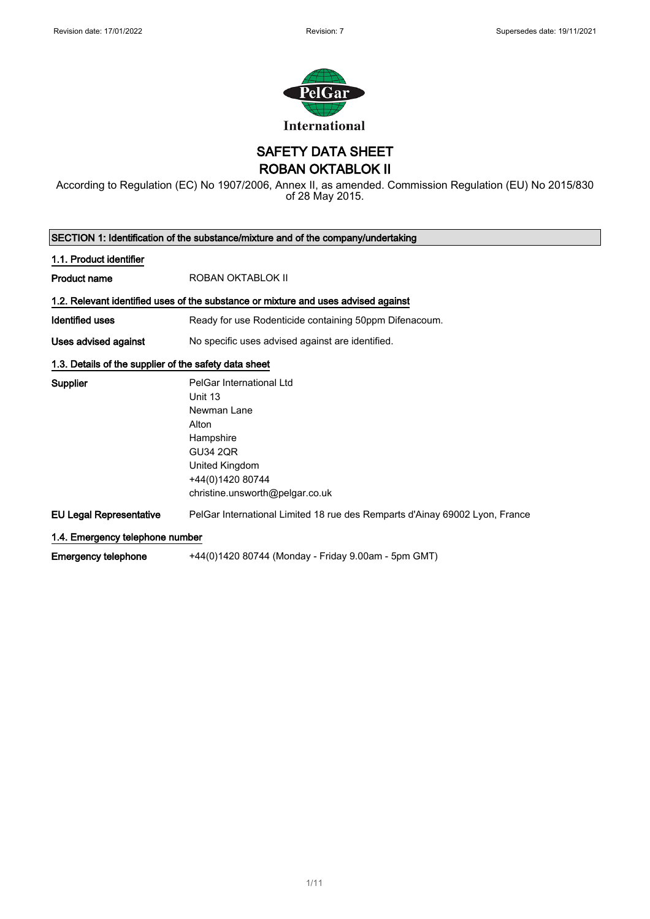

SAFETY DATA SHEET

ROBAN OKTABLOK II

According to Regulation (EC) No 1907/2006, Annex II, as amended. Commission Regulation (EU) No 2015/830 of 28 May 2015.

| SECTION 1: Identification of the substance/mixture and of the company/undertaking |                                                                                                                                                                      |  |
|-----------------------------------------------------------------------------------|----------------------------------------------------------------------------------------------------------------------------------------------------------------------|--|
| 1.1. Product identifier                                                           |                                                                                                                                                                      |  |
| <b>Product name</b>                                                               | ROBAN OKTABLOK II                                                                                                                                                    |  |
|                                                                                   | 1.2. Relevant identified uses of the substance or mixture and uses advised against                                                                                   |  |
| Identified uses                                                                   | Ready for use Rodenticide containing 50ppm Difenacoum.                                                                                                               |  |
| Uses advised against                                                              | No specific uses advised against are identified.                                                                                                                     |  |
| 1.3. Details of the supplier of the safety data sheet                             |                                                                                                                                                                      |  |
| Supplier                                                                          | PelGar International Ltd<br>Unit 13<br>Newman Lane<br>Alton<br>Hampshire<br><b>GU34 2QR</b><br>United Kingdom<br>+44(0)1420 80744<br>christine.unsworth@pelgar.co.uk |  |
| <b>EU Legal Representative</b>                                                    | PelGar International Limited 18 rue des Remparts d'Ainay 69002 Lyon, France                                                                                          |  |
| 1.4. Emergency telephone number                                                   |                                                                                                                                                                      |  |
| <b>Emergency telephone</b>                                                        | +44(0)1420 80744 (Monday - Friday 9.00am - 5pm GMT)                                                                                                                  |  |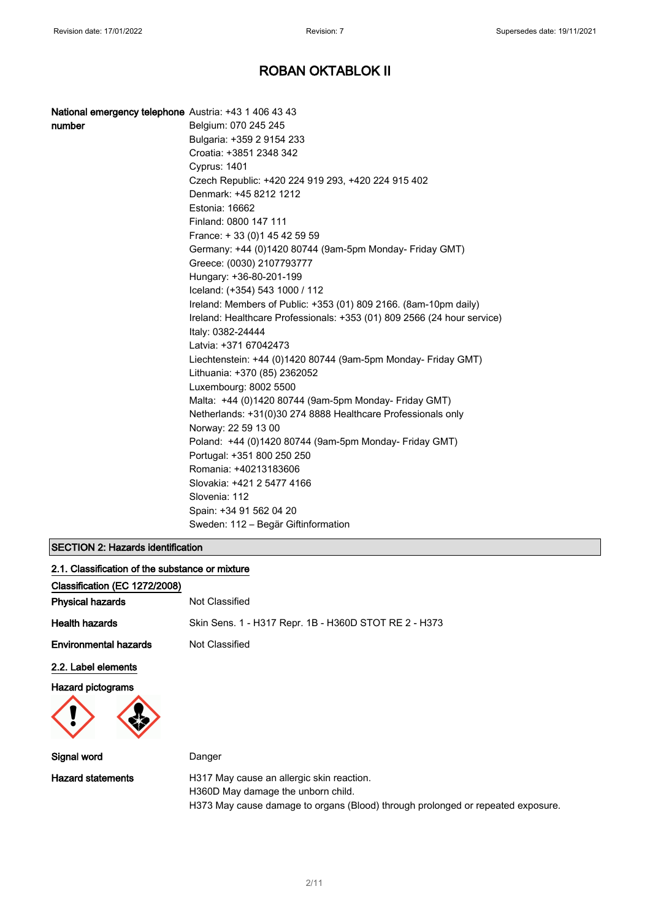| National emergency telephone Austria: +43 1 406 43 43 |                                                                         |
|-------------------------------------------------------|-------------------------------------------------------------------------|
| number                                                | Belgium: 070 245 245                                                    |
|                                                       | Bulgaria: +359 2 9154 233                                               |
|                                                       | Croatia: +3851 2348 342                                                 |
|                                                       | <b>Cyprus: 1401</b>                                                     |
|                                                       | Czech Republic: +420 224 919 293, +420 224 915 402                      |
|                                                       | Denmark: +45 8212 1212                                                  |
|                                                       | Estonia: 16662                                                          |
|                                                       | Finland: 0800 147 111                                                   |
|                                                       | France: +33 (0) 145 42 59 59                                            |
|                                                       | Germany: +44 (0)1420 80744 (9am-5pm Monday- Friday GMT)                 |
|                                                       | Greece: (0030) 2107793777                                               |
|                                                       | Hungary: +36-80-201-199                                                 |
|                                                       | Iceland: (+354) 543 1000 / 112                                          |
|                                                       | Ireland: Members of Public: +353 (01) 809 2166. (8am-10pm daily)        |
|                                                       | Ireland: Healthcare Professionals: +353 (01) 809 2566 (24 hour service) |
|                                                       | Italy: 0382-24444                                                       |
|                                                       | Latvia: +371 67042473                                                   |
|                                                       | Liechtenstein: +44 (0)1420 80744 (9am-5pm Monday- Friday GMT)           |
|                                                       | Lithuania: +370 (85) 2362052                                            |
|                                                       | Luxembourg: 8002 5500                                                   |
|                                                       | Malta: +44 (0)1420 80744 (9am-5pm Monday- Friday GMT)                   |
|                                                       | Netherlands: +31(0)30 274 8888 Healthcare Professionals only            |
|                                                       | Norway: 22 59 13 00                                                     |
|                                                       | Poland: +44 (0)1420 80744 (9am-5pm Monday- Friday GMT)                  |
|                                                       | Portugal: +351 800 250 250                                              |
|                                                       | Romania: +40213183606                                                   |
|                                                       | Slovakia: +421 2 5477 4166                                              |
|                                                       | Slovenia: 112                                                           |
|                                                       | Spain: +34 91 562 04 20                                                 |
|                                                       | Sweden: 112 – Begär Giftinformation                                     |

## SECTION 2: Hazards identification

| 2.1. Classification of the substance or mixture |                                                                                 |
|-------------------------------------------------|---------------------------------------------------------------------------------|
| Classification (EC 1272/2008)                   |                                                                                 |
| <b>Physical hazards</b>                         | Not Classified                                                                  |
| <b>Health hazards</b>                           | Skin Sens. 1 - H317 Repr. 1B - H360D STOT RE 2 - H373                           |
| <b>Environmental hazards</b>                    | Not Classified                                                                  |
| 2.2. Label elements                             |                                                                                 |
| <b>Hazard pictograms</b>                        |                                                                                 |
| Signal word                                     | Danger                                                                          |
| <b>Hazard statements</b>                        | H317 May cause an allergic skin reaction.<br>H360D May damage the unborn child. |

H373 May cause damage to organs (Blood) through prolonged or repeated exposure.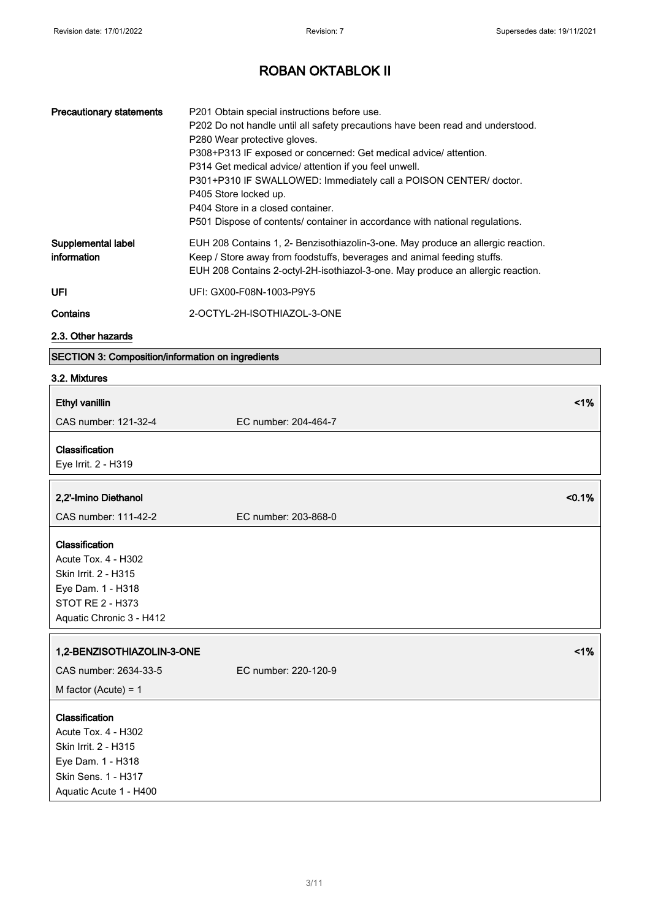| <b>Precautionary statements</b>   | P201 Obtain special instructions before use.<br>P202 Do not handle until all safety precautions have been read and understood.<br>P280 Wear protective gloves.<br>P308+P313 IF exposed or concerned: Get medical advice/ attention.<br>P314 Get medical advice/ attention if you feel unwell.<br>P301+P310 IF SWALLOWED: Immediately call a POISON CENTER/ doctor.<br>P405 Store locked up.<br>P404 Store in a closed container.<br>P501 Dispose of contents/ container in accordance with national regulations. |
|-----------------------------------|------------------------------------------------------------------------------------------------------------------------------------------------------------------------------------------------------------------------------------------------------------------------------------------------------------------------------------------------------------------------------------------------------------------------------------------------------------------------------------------------------------------|
| Supplemental label<br>information | EUH 208 Contains 1, 2- Benzisothiazolin-3-one. May produce an allergic reaction.<br>Keep / Store away from foodstuffs, beverages and animal feeding stuffs.<br>EUH 208 Contains 2-octyl-2H-isothiazol-3-one. May produce an allergic reaction.                                                                                                                                                                                                                                                                   |
| UFL                               | UFI: GX00-F08N-1003-P9Y5                                                                                                                                                                                                                                                                                                                                                                                                                                                                                         |
| Contains                          | 2-OCTYL-2H-ISOTHIAZOL-3-ONE                                                                                                                                                                                                                                                                                                                                                                                                                                                                                      |

### 2.3. Other hazards

# SECTION 3: Composition/information on ingredients

### 3.2. Mixtures

| <b>Ethyl vanillin</b>                                                                                                                     | 1%                             |
|-------------------------------------------------------------------------------------------------------------------------------------------|--------------------------------|
| CAS number: 121-32-4                                                                                                                      | EC number: 204-464-7           |
| Classification<br>Eye Irrit. 2 - H319                                                                                                     |                                |
| 2,2'-Imino Diethanol<br>CAS number: 111-42-2                                                                                              | < 0.1%<br>EC number: 203-868-0 |
| Classification<br><b>Acute Tox. 4 - H302</b><br>Skin Irrit. 2 - H315<br>Eye Dam. 1 - H318<br>STOT RE 2 - H373<br>Aquatic Chronic 3 - H412 |                                |
| 1,2-BENZISOTHIAZOLIN-3-ONE<br>CAS number: 2634-33-5                                                                                       | 1%<br>EC number: 220-120-9     |
| M factor (Acute) = $1$                                                                                                                    |                                |
| Classification<br>Acute Tox. 4 - H302<br>Skin Irrit. 2 - H315<br>Eye Dam. 1 - H318<br>Skin Sens. 1 - H317<br>Aquatic Acute 1 - H400       |                                |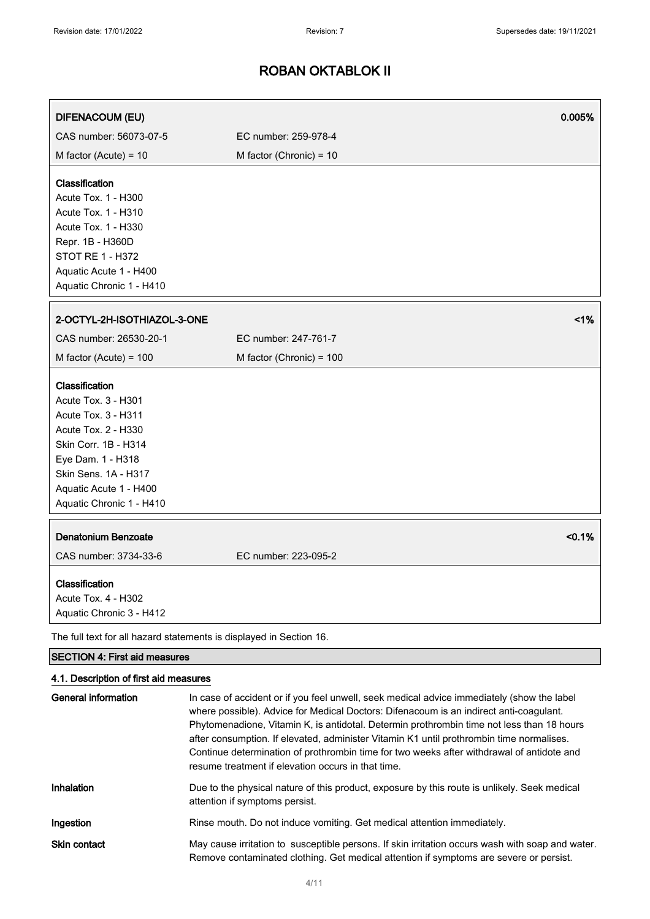| <b>DIFENACOUM (EU)</b>                                                                                                                                                                                                | 0.005%                                                                                                                                                                               |           |
|-----------------------------------------------------------------------------------------------------------------------------------------------------------------------------------------------------------------------|--------------------------------------------------------------------------------------------------------------------------------------------------------------------------------------|-----------|
| CAS number: 56073-07-5                                                                                                                                                                                                | EC number: 259-978-4                                                                                                                                                                 |           |
| M factor (Acute) = $10$                                                                                                                                                                                               | M factor (Chronic) = 10                                                                                                                                                              |           |
| Classification<br>Acute Tox. 1 - H300<br><b>Acute Tox. 1 - H310</b><br>Acute Tox. 1 - H330<br>Repr. 1B - H360D<br><b>STOT RE 1 - H372</b><br>Aquatic Acute 1 - H400<br>Aquatic Chronic 1 - H410                       |                                                                                                                                                                                      |           |
| 2-OCTYL-2H-ISOTHIAZOL-3-ONE                                                                                                                                                                                           |                                                                                                                                                                                      | 1%        |
| CAS number: 26530-20-1                                                                                                                                                                                                | EC number: 247-761-7                                                                                                                                                                 |           |
| M factor (Acute) = $100$                                                                                                                                                                                              | M factor (Chronic) = 100                                                                                                                                                             |           |
| Classification<br>Acute Tox. 3 - H301<br><b>Acute Tox. 3 - H311</b><br>Acute Tox. 2 - H330<br>Skin Corr. 1B - H314<br>Eye Dam. 1 - H318<br>Skin Sens. 1A - H317<br>Aquatic Acute 1 - H400<br>Aquatic Chronic 1 - H410 |                                                                                                                                                                                      |           |
| <b>Denatonium Benzoate</b>                                                                                                                                                                                            |                                                                                                                                                                                      | $< 0.1\%$ |
| CAS number: 3734-33-6                                                                                                                                                                                                 | EC number: 223-095-2                                                                                                                                                                 |           |
| Classification<br>Acute Tox. 4 - H302<br>Aquatic Chronic 3 - H412                                                                                                                                                     |                                                                                                                                                                                      |           |
| The full text for all hazard statements is displayed in Section 16.                                                                                                                                                   |                                                                                                                                                                                      |           |
| <b>SECTION 4: First aid measures</b>                                                                                                                                                                                  |                                                                                                                                                                                      |           |
| 4.1. Description of first aid measures<br><b>General information</b>                                                                                                                                                  | In case of accident or if you feel unwell, seek medical advice immediately (show the label<br>where possible). Advice for Medical Doctors: Difenacoum is an indirect anti-coagulant. |           |

|                     | Phytomenadione, Vitamin K, is antidotal. Determin prothrombin time not less than 18 hours<br>after consumption. If elevated, administer Vitamin K1 until prothrombin time normalises.<br>Continue determination of prothrombin time for two weeks after withdrawal of antidote and<br>resume treatment if elevation occurs in that time. |
|---------------------|------------------------------------------------------------------------------------------------------------------------------------------------------------------------------------------------------------------------------------------------------------------------------------------------------------------------------------------|
| <b>Inhalation</b>   | Due to the physical nature of this product, exposure by this route is unlikely. Seek medical<br>attention if symptoms persist.                                                                                                                                                                                                           |
| Ingestion           | Rinse mouth. Do not induce vomiting. Get medical attention immediately.                                                                                                                                                                                                                                                                  |
| <b>Skin contact</b> | May cause irritation to susceptible persons. If skin irritation occurs wash with soap and water.<br>Remove contaminated clothing. Get medical attention if symptoms are severe or persist.                                                                                                                                               |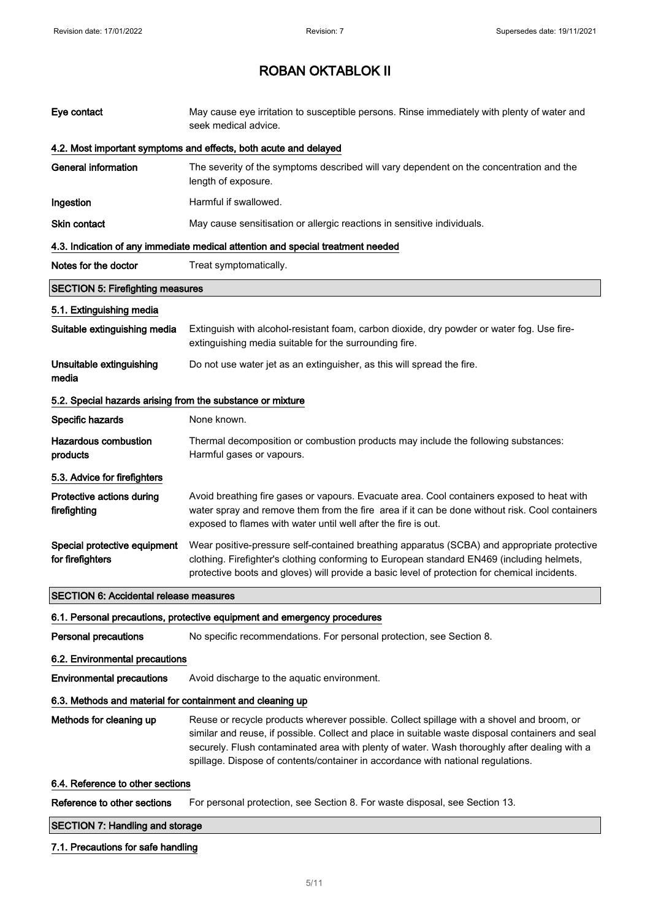| Eye contact                                                | May cause eye irritation to susceptible persons. Rinse immediately with plenty of water and<br>seek medical advice.                                                                                                                                                                                                                                                               |  |
|------------------------------------------------------------|-----------------------------------------------------------------------------------------------------------------------------------------------------------------------------------------------------------------------------------------------------------------------------------------------------------------------------------------------------------------------------------|--|
|                                                            | 4.2. Most important symptoms and effects, both acute and delayed                                                                                                                                                                                                                                                                                                                  |  |
| <b>General information</b>                                 | The severity of the symptoms described will vary dependent on the concentration and the<br>length of exposure.                                                                                                                                                                                                                                                                    |  |
| Ingestion                                                  | Harmful if swallowed.                                                                                                                                                                                                                                                                                                                                                             |  |
| <b>Skin contact</b>                                        | May cause sensitisation or allergic reactions in sensitive individuals.                                                                                                                                                                                                                                                                                                           |  |
|                                                            | 4.3. Indication of any immediate medical attention and special treatment needed                                                                                                                                                                                                                                                                                                   |  |
| Notes for the doctor                                       | Treat symptomatically.                                                                                                                                                                                                                                                                                                                                                            |  |
| <b>SECTION 5: Firefighting measures</b>                    |                                                                                                                                                                                                                                                                                                                                                                                   |  |
| 5.1. Extinguishing media                                   |                                                                                                                                                                                                                                                                                                                                                                                   |  |
| Suitable extinguishing media                               | Extinguish with alcohol-resistant foam, carbon dioxide, dry powder or water fog. Use fire-<br>extinguishing media suitable for the surrounding fire.                                                                                                                                                                                                                              |  |
| Unsuitable extinguishing<br>media                          | Do not use water jet as an extinguisher, as this will spread the fire.                                                                                                                                                                                                                                                                                                            |  |
| 5.2. Special hazards arising from the substance or mixture |                                                                                                                                                                                                                                                                                                                                                                                   |  |
| Specific hazards                                           | None known.                                                                                                                                                                                                                                                                                                                                                                       |  |
| <b>Hazardous combustion</b><br>products                    | Thermal decomposition or combustion products may include the following substances:<br>Harmful gases or vapours.                                                                                                                                                                                                                                                                   |  |
| 5.3. Advice for firefighters                               |                                                                                                                                                                                                                                                                                                                                                                                   |  |
| Protective actions during<br>firefighting                  | Avoid breathing fire gases or vapours. Evacuate area. Cool containers exposed to heat with<br>water spray and remove them from the fire area if it can be done without risk. Cool containers<br>exposed to flames with water until well after the fire is out.                                                                                                                    |  |
| Special protective equipment<br>for firefighters           | Wear positive-pressure self-contained breathing apparatus (SCBA) and appropriate protective<br>clothing. Firefighter's clothing conforming to European standard EN469 (including helmets,<br>protective boots and gloves) will provide a basic level of protection for chemical incidents.                                                                                        |  |
| <b>SECTION 6: Accidental release measures</b>              |                                                                                                                                                                                                                                                                                                                                                                                   |  |
|                                                            | 6.1. Personal precautions, protective equipment and emergency procedures                                                                                                                                                                                                                                                                                                          |  |
| <b>Personal precautions</b>                                | No specific recommendations. For personal protection, see Section 8.                                                                                                                                                                                                                                                                                                              |  |
| 6.2. Environmental precautions                             |                                                                                                                                                                                                                                                                                                                                                                                   |  |
| <b>Environmental precautions</b>                           | Avoid discharge to the aquatic environment.                                                                                                                                                                                                                                                                                                                                       |  |
| 6.3. Methods and material for containment and cleaning up  |                                                                                                                                                                                                                                                                                                                                                                                   |  |
| Methods for cleaning up                                    | Reuse or recycle products wherever possible. Collect spillage with a shovel and broom, or<br>similar and reuse, if possible. Collect and place in suitable waste disposal containers and seal<br>securely. Flush contaminated area with plenty of water. Wash thoroughly after dealing with a<br>spillage. Dispose of contents/container in accordance with national regulations. |  |
| 6.4. Reference to other sections                           |                                                                                                                                                                                                                                                                                                                                                                                   |  |
| Reference to other sections                                | For personal protection, see Section 8. For waste disposal, see Section 13.                                                                                                                                                                                                                                                                                                       |  |
| <b>SECTION 7: Handling and storage</b>                     |                                                                                                                                                                                                                                                                                                                                                                                   |  |

## 7.1. Precautions for safe handling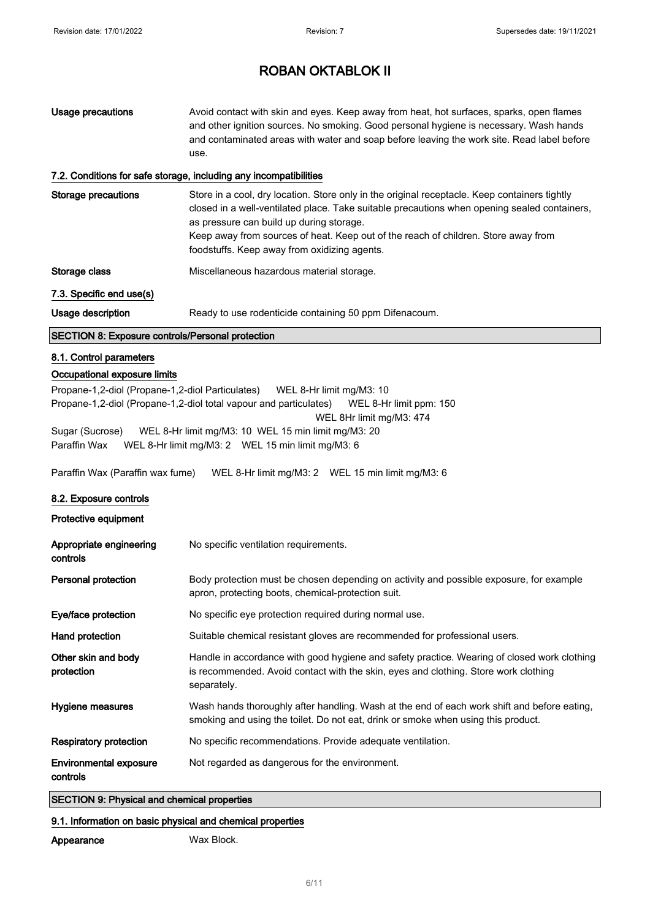| Usage precautions | Avoid contact with skin and eyes. Keep away from heat, hot surfaces, sparks, open flames<br>and other ignition sources. No smoking. Good personal hygiene is necessary. Wash hands<br>and contaminated areas with water and soap before leaving the work site. Read label before<br>use. |
|-------------------|------------------------------------------------------------------------------------------------------------------------------------------------------------------------------------------------------------------------------------------------------------------------------------------|
|                   |                                                                                                                                                                                                                                                                                          |

### 7.2. Conditions for safe storage, including any incompatibilities

| Storage precautions                                     | Store in a cool, dry location. Store only in the original receptacle. Keep containers tightly<br>closed in a well-ventilated place. Take suitable precautions when opening sealed containers,<br>as pressure can build up during storage.<br>Keep away from sources of heat. Keep out of the reach of children. Store away from<br>foodstuffs. Keep away from oxidizing agents. |
|---------------------------------------------------------|---------------------------------------------------------------------------------------------------------------------------------------------------------------------------------------------------------------------------------------------------------------------------------------------------------------------------------------------------------------------------------|
| Storage class                                           | Miscellaneous hazardous material storage.                                                                                                                                                                                                                                                                                                                                       |
| 7.3. Specific end use(s)                                |                                                                                                                                                                                                                                                                                                                                                                                 |
| Usage description                                       | Ready to use rodenticide containing 50 ppm Difenacoum.                                                                                                                                                                                                                                                                                                                          |
| <b>SECTION 8: Exposure controls/Personal protection</b> |                                                                                                                                                                                                                                                                                                                                                                                 |

### 8.1. Control parameters

### Occupational exposure limits

Propane-1,2-diol (Propane-1,2-diol Particulates) WEL 8-Hr limit mg/M3: 10 Propane-1,2-diol (Propane-1,2-diol total vapour and particulates) WEL 8-Hr limit ppm: 150 WEL 8Hr limit mg/M3: 474 Sugar (Sucrose) WEL 8-Hr limit mg/M3: 10 WEL 15 min limit mg/M3: 20 Paraffin Wax WEL 8-Hr limit mg/M3: 2 WEL 15 min limit mg/M3: 6

Paraffin Wax (Paraffin wax fume) WEL 8-Hr limit mg/M3: 2 WEL 15 min limit mg/M3: 6

#### 8.2. Exposure controls

Protective equipment

| Appropriate engineering<br>controls | No specific ventilation requirements.                                                                                                                                                             |
|-------------------------------------|---------------------------------------------------------------------------------------------------------------------------------------------------------------------------------------------------|
| Personal protection                 | Body protection must be chosen depending on activity and possible exposure, for example<br>apron, protecting boots, chemical-protection suit.                                                     |
| Eye/face protection                 | No specific eye protection required during normal use.                                                                                                                                            |
| Hand protection                     | Suitable chemical resistant gloves are recommended for professional users.                                                                                                                        |
| Other skin and body<br>protection   | Handle in accordance with good hygiene and safety practice. Wearing of closed work clothing<br>is recommended. Avoid contact with the skin, eyes and clothing. Store work clothing<br>separately. |
| Hygiene measures                    | Wash hands thoroughly after handling. Wash at the end of each work shift and before eating,<br>smoking and using the toilet. Do not eat, drink or smoke when using this product.                  |
| <b>Respiratory protection</b>       | No specific recommendations. Provide adequate ventilation.                                                                                                                                        |
| Environmental exposure<br>controls  | Not regarded as dangerous for the environment.                                                                                                                                                    |

### SECTION 9: Physical and chemical properties

### 9.1. Information on basic physical and chemical properties

Appearance Wax Block.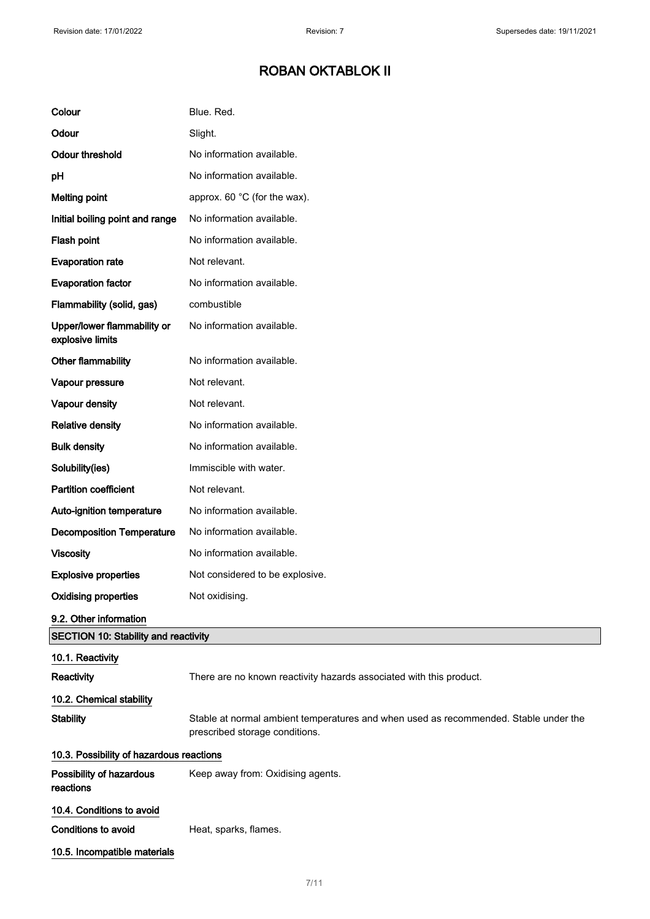| Colour                                          | Blue. Red.                                                                                                             |
|-------------------------------------------------|------------------------------------------------------------------------------------------------------------------------|
| Odour                                           | Slight.                                                                                                                |
| <b>Odour threshold</b>                          | No information available.                                                                                              |
| pH                                              | No information available.                                                                                              |
| <b>Melting point</b>                            | approx. 60 °C (for the wax).                                                                                           |
| Initial boiling point and range                 | No information available.                                                                                              |
| Flash point                                     | No information available.                                                                                              |
| <b>Evaporation rate</b>                         | Not relevant.                                                                                                          |
| <b>Evaporation factor</b>                       | No information available.                                                                                              |
| Flammability (solid, gas)                       | combustible                                                                                                            |
| Upper/lower flammability or<br>explosive limits | No information available.                                                                                              |
| Other flammability                              | No information available.                                                                                              |
| Vapour pressure                                 | Not relevant.                                                                                                          |
| Vapour density                                  | Not relevant.                                                                                                          |
| <b>Relative density</b>                         | No information available.                                                                                              |
| <b>Bulk density</b>                             | No information available.                                                                                              |
| Solubility(ies)                                 | Immiscible with water.                                                                                                 |
| <b>Partition coefficient</b>                    | Not relevant.                                                                                                          |
| Auto-ignition temperature                       | No information available.                                                                                              |
| <b>Decomposition Temperature</b>                | No information available.                                                                                              |
| <b>Viscosity</b>                                | No information available.                                                                                              |
| <b>Explosive properties</b>                     | Not considered to be explosive.                                                                                        |
| <b>Oxidising properties</b>                     | Not oxidising.                                                                                                         |
| 9.2. Other information                          |                                                                                                                        |
| <b>SECTION 10: Stability and reactivity</b>     |                                                                                                                        |
| 10.1. Reactivity<br>Reactivity                  | There are no known reactivity hazards associated with this product.                                                    |
| 10.2. Chemical stability                        |                                                                                                                        |
| <b>Stability</b>                                | Stable at normal ambient temperatures and when used as recommended. Stable under the<br>prescribed storage conditions. |
| 10.3. Possibility of hazardous reactions        |                                                                                                                        |
| Possibility of hazardous<br>reactions           | Keep away from: Oxidising agents.                                                                                      |
| 10.4. Conditions to avoid                       |                                                                                                                        |
| <b>Conditions to avoid</b>                      | Heat, sparks, flames.                                                                                                  |
| 10.5. Incompatible materials                    |                                                                                                                        |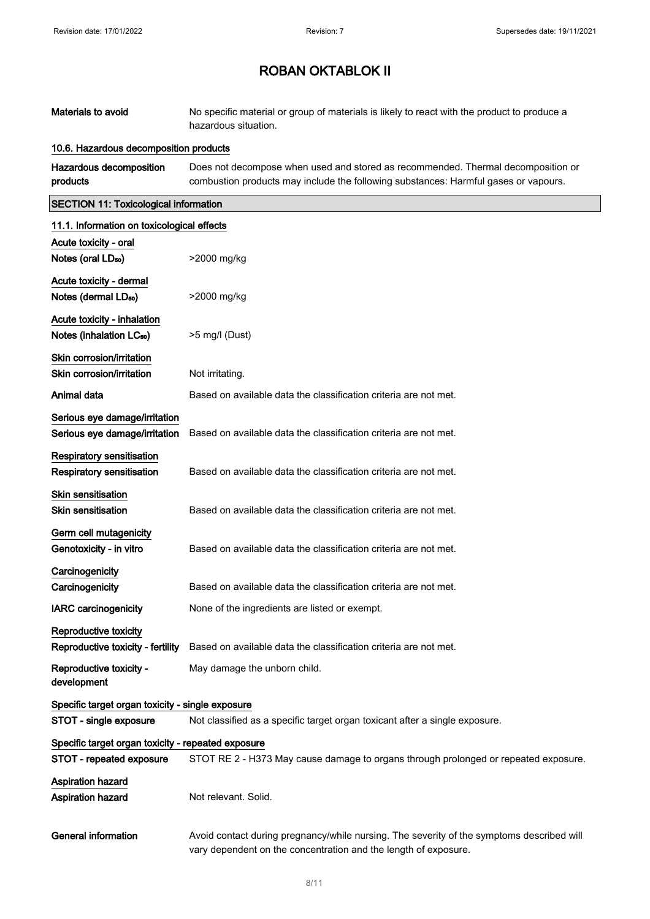| Materials to avoid                                 | No specific material or group of materials is likely to react with the product to produce a<br>hazardous situation.                                                     |
|----------------------------------------------------|-------------------------------------------------------------------------------------------------------------------------------------------------------------------------|
| 10.6. Hazardous decomposition products             |                                                                                                                                                                         |
| Hazardous decomposition<br>products                | Does not decompose when used and stored as recommended. Thermal decomposition or<br>combustion products may include the following substances: Harmful gases or vapours. |
| <b>SECTION 11: Toxicological information</b>       |                                                                                                                                                                         |
| 11.1. Information on toxicological effects         |                                                                                                                                                                         |
| Acute toxicity - oral                              |                                                                                                                                                                         |
| Notes (oral LD <sub>50</sub> )                     | >2000 mg/kg                                                                                                                                                             |
| Acute toxicity - dermal                            |                                                                                                                                                                         |
| Notes (dermal LD <sub>50</sub> )                   | >2000 mg/kg                                                                                                                                                             |
| Acute toxicity - inhalation                        |                                                                                                                                                                         |
| Notes (inhalation LC <sub>50</sub> )               | >5 mg/l (Dust)                                                                                                                                                          |
| Skin corrosion/irritation                          |                                                                                                                                                                         |
| Skin corrosion/irritation                          | Not irritating.                                                                                                                                                         |
| Animal data                                        | Based on available data the classification criteria are not met.                                                                                                        |
| Serious eye damage/irritation                      |                                                                                                                                                                         |
| Serious eye damage/irritation                      | Based on available data the classification criteria are not met.                                                                                                        |
| <b>Respiratory sensitisation</b>                   |                                                                                                                                                                         |
| Respiratory sensitisation                          | Based on available data the classification criteria are not met.                                                                                                        |
| <b>Skin sensitisation</b>                          |                                                                                                                                                                         |
| <b>Skin sensitisation</b>                          | Based on available data the classification criteria are not met.                                                                                                        |
| Germ cell mutagenicity                             |                                                                                                                                                                         |
| Genotoxicity - in vitro                            | Based on available data the classification criteria are not met.                                                                                                        |
| Carcinogenicity                                    |                                                                                                                                                                         |
| Carcinogenicity                                    | Based on available data the classification criteria are not met.                                                                                                        |
| <b>IARC carcinogenicity</b>                        | None of the ingredients are listed or exempt.                                                                                                                           |
| Reproductive toxicity                              |                                                                                                                                                                         |
| Reproductive toxicity - fertility                  | Based on available data the classification criteria are not met.                                                                                                        |
| Reproductive toxicity -<br>development             | May damage the unborn child.                                                                                                                                            |
| Specific target organ toxicity - single exposure   |                                                                                                                                                                         |
| STOT - single exposure                             | Not classified as a specific target organ toxicant after a single exposure.                                                                                             |
| Specific target organ toxicity - repeated exposure |                                                                                                                                                                         |
| STOT - repeated exposure                           | STOT RE 2 - H373 May cause damage to organs through prolonged or repeated exposure.                                                                                     |
| Aspiration hazard<br>Aspiration hazard             | Not relevant. Solid.                                                                                                                                                    |
| <b>General information</b>                         | Avoid contact during pregnancy/while nursing. The severity of the symptoms described will<br>vary dependent on the concentration and the length of exposure.            |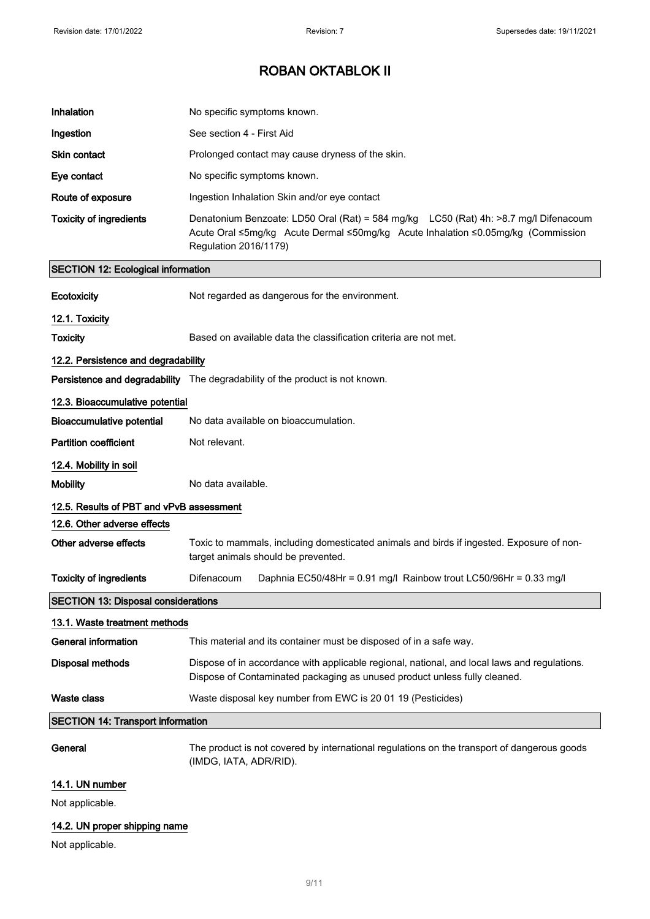| Inhalation                                 | No specific symptoms known.                                                                                                                                                                       |  |
|--------------------------------------------|---------------------------------------------------------------------------------------------------------------------------------------------------------------------------------------------------|--|
| Ingestion                                  | See section 4 - First Aid                                                                                                                                                                         |  |
| <b>Skin contact</b>                        | Prolonged contact may cause dryness of the skin.                                                                                                                                                  |  |
| Eye contact                                | No specific symptoms known.                                                                                                                                                                       |  |
| Route of exposure                          | Ingestion Inhalation Skin and/or eye contact                                                                                                                                                      |  |
| <b>Toxicity of ingredients</b>             | Denatonium Benzoate: LD50 Oral (Rat) = 584 mg/kg LC50 (Rat) 4h: >8.7 mg/l Difenacoum<br>Acute Oral ≤5mg/kg Acute Dermal ≤50mg/kg Acute Inhalation ≤0.05mg/kg (Commission<br>Regulation 2016/1179) |  |
| <b>SECTION 12: Ecological information</b>  |                                                                                                                                                                                                   |  |
| Ecotoxicity                                | Not regarded as dangerous for the environment.                                                                                                                                                    |  |
| 12.1. Toxicity                             |                                                                                                                                                                                                   |  |
| <b>Toxicity</b>                            | Based on available data the classification criteria are not met.                                                                                                                                  |  |
| 12.2. Persistence and degradability        |                                                                                                                                                                                                   |  |
|                                            | <b>Persistence and degradability</b> The degradability of the product is not known.                                                                                                               |  |
| 12.3. Bioaccumulative potential            |                                                                                                                                                                                                   |  |
| <b>Bioaccumulative potential</b>           | No data available on bioaccumulation.                                                                                                                                                             |  |
| <b>Partition coefficient</b>               | Not relevant.                                                                                                                                                                                     |  |
| 12.4. Mobility in soil                     |                                                                                                                                                                                                   |  |
| <b>Mobility</b>                            | No data available.                                                                                                                                                                                |  |
| 12.5. Results of PBT and vPvB assessment   |                                                                                                                                                                                                   |  |
| 12.6. Other adverse effects                |                                                                                                                                                                                                   |  |
| Other adverse effects                      | Toxic to mammals, including domesticated animals and birds if ingested. Exposure of non-<br>target animals should be prevented.                                                                   |  |
| <b>Toxicity of ingredients</b>             | Difenacoum<br>Daphnia EC50/48Hr = 0.91 mg/l Rainbow trout LC50/96Hr = 0.33 mg/l                                                                                                                   |  |
| <b>SECTION 13: Disposal considerations</b> |                                                                                                                                                                                                   |  |
| 13.1. Waste treatment methods              |                                                                                                                                                                                                   |  |
| <b>General information</b>                 | This material and its container must be disposed of in a safe way.                                                                                                                                |  |
| <b>Disposal methods</b>                    | Dispose of in accordance with applicable regional, national, and local laws and regulations.<br>Dispose of Contaminated packaging as unused product unless fully cleaned.                         |  |
| Waste class                                | Waste disposal key number from EWC is 20 01 19 (Pesticides)                                                                                                                                       |  |
| <b>SECTION 14: Transport information</b>   |                                                                                                                                                                                                   |  |
| General                                    | The product is not covered by international regulations on the transport of dangerous goods<br>(IMDG, IATA, ADR/RID).                                                                             |  |
| 14.1. UN number                            |                                                                                                                                                                                                   |  |
| Not applicable.                            |                                                                                                                                                                                                   |  |
| 14.2. UN proper shipping name              |                                                                                                                                                                                                   |  |

Not applicable.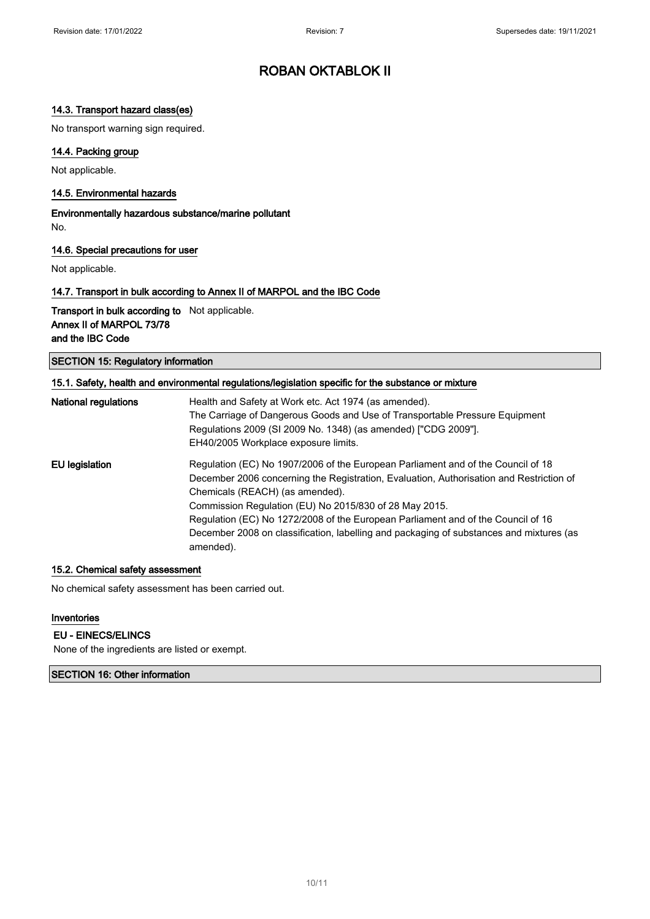### 14.3. Transport hazard class(es)

No transport warning sign required.

### 14.4. Packing group

Not applicable.

#### 14.5. Environmental hazards

Environmentally hazardous substance/marine pollutant No.

### 14.6. Special precautions for user

Not applicable.

### 14.7. Transport in bulk according to Annex II of MARPOL and the IBC Code

Transport in bulk according to Not applicable. Annex II of MARPOL 73/78 and the IBC Code

SECTION 15: Regulatory information

| 15.1. Safety, health and environmental regulations/legislation specific for the substance or mixture |                                                                                                      |  |
|------------------------------------------------------------------------------------------------------|------------------------------------------------------------------------------------------------------|--|
| <b>National regulations</b>                                                                          | Health and Safety at Work etc. Act 1974 (as amended).                                                |  |
|                                                                                                      | The Carriage of Dangerous Goods and Use of Transportable Pressure Equipment                          |  |
|                                                                                                      | Regulations 2009 (SI 2009 No. 1348) (as amended) ["CDG 2009"].                                       |  |
|                                                                                                      | EH40/2005 Workplace exposure limits.                                                                 |  |
| EU legislation                                                                                       | Regulation (EC) No 1907/2006 of the European Parliament and of the Council of 18                     |  |
|                                                                                                      | December 2006 concerning the Registration, Evaluation, Authorisation and Restriction of              |  |
|                                                                                                      | Chemicals (REACH) (as amended).                                                                      |  |
|                                                                                                      | Commission Regulation (EU) No 2015/830 of 28 May 2015.                                               |  |
|                                                                                                      | Regulation (EC) No 1272/2008 of the European Parliament and of the Council of 16                     |  |
|                                                                                                      | December 2008 on classification, labelling and packaging of substances and mixtures (as<br>amended). |  |

### 15.2. Chemical safety assessment

No chemical safety assessment has been carried out.

### Inventories

#### EU - EINECS/ELINCS

None of the ingredients are listed or exempt.

### SECTION 16: Other information